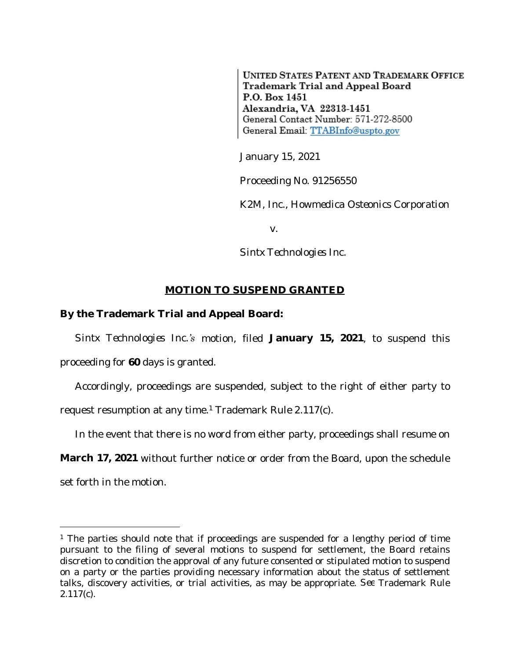**UNITED STATES PATENT AND TRADEMARK OFFICE** Trademark Trial and Appeal Board P.O. Box 1451 Alexandria, VA 22313-1451 General Contact Number: 571-272-8500 General Email: TTABInfo@uspto.gov

January 15, 2021

Proceeding No. 91256550

*K2M, Inc., Howmedica Osteonics Corporation*

v.

*Sintx Technologies Inc.*

## **MOTION TO SUSPEND GRANTED**

## **By the Trademark Trial and Appeal Board:**

*Sintx Technologies Inc.'s* motion, filed **January 15, 2021**, to suspend this proceeding for **60** days is granted.

Accordingly, proceedings are suspended, subject to the right of either party to request resumption at any time.<sup>1</sup> Trademark Rule 2.117(c).

In the event that there is no word from either party, proceedings shall resume on

**March 17, 2021** without further notice or order from the Board, upon the schedule

set forth in the motion.

<sup>&</sup>lt;sup>1</sup> The parties should note that if proceedings are suspended for a lengthy period of time pursuant to the filing of several motions to suspend for settlement, the Board retains discretion to condition the approval of any future consented or stipulated motion to suspend on a party or the parties providing necessary information about the status of settlement talks, discovery activities, or trial activities, as may be appropriate. *See* Trademark Rule 2.117(c).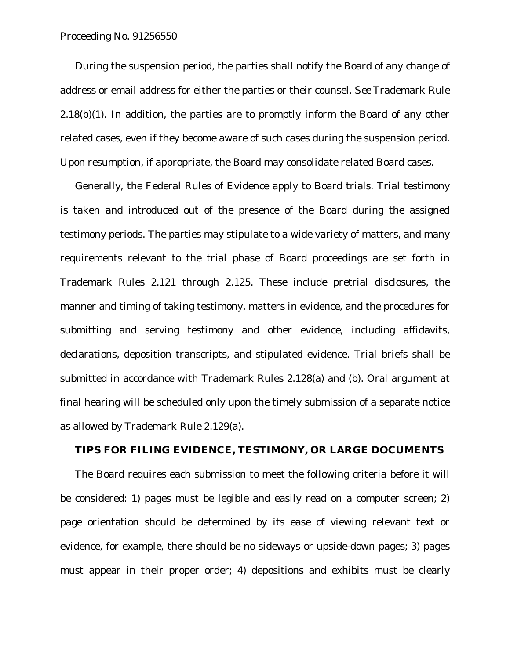## Proceeding No. 91256550

During the suspension period, the parties shall notify the Board of any change of address or email address for either the parties or their counsel. *See* Trademark Rule  $2.18(b)(1)$ . In addition, the parties are to promptly inform the Board of any other related cases, even if they become aware of such cases during the suspension period. Upon resumption, if appropriate, the Board may consolidate related Board cases.

Generally, the Federal Rules of Evidence apply to Board trials. Trial testimony is taken and introduced out of the presence of the Board during the assigned testimony periods. The parties may stipulate to a wide variety of matters, and many requirements relevant to the trial phase of Board proceedings are set forth in Trademark Rules 2.121 through 2.125. These include pretrial disclosures, the manner and timing of taking testimony, matters in evidence, and the procedures for submitting and serving testimony and other evidence, including affidavits, declarations, deposition transcripts, and stipulated evidence. Trial briefs shall be submitted in accordance with Trademark Rules 2.128(a) and (b). Oral argument at final hearing will be scheduled only upon the timely submission of a separate notice as allowed by Trademark Rule 2.129(a).

## **TIPS FOR FILING EVIDENCE, TESTIMONY, OR LARGE DOCUMENTS**

The Board requires each submission to meet the following criteria before it will be considered: 1) pages must be legible and easily read on a computer screen; 2) page orientation should be determined by its ease of viewing relevant text or evidence, for example, there should be no sideways or upside-down pages; 3) pages must appear in their proper order; 4) depositions and exhibits must be clearly